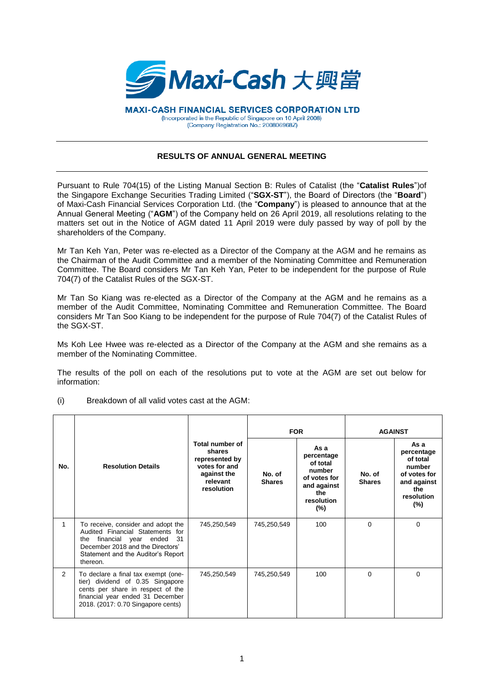

**MAXI-CASH FINANCIAL SERVICES CORPORATION LTD** (Incorporated in the Republic of Singapore on 10 April 2008) (Company Registration No.: 200806968Z)

## **RESULTS OF ANNUAL GENERAL MEETING**

Pursuant to Rule 704(15) of the Listing Manual Section B: Rules of Catalist (the "**Catalist Rules**")of the Singapore Exchange Securities Trading Limited ("**SGX-ST**"), the Board of Directors (the "**Board**") of Maxi-Cash Financial Services Corporation Ltd. (the "**Company**") is pleased to announce that at the Annual General Meeting ("**AGM**") of the Company held on 26 April 2019, all resolutions relating to the matters set out in the Notice of AGM dated 11 April 2019 were duly passed by way of poll by the shareholders of the Company.

Mr Tan Keh Yan, Peter was re-elected as a Director of the Company at the AGM and he remains as the Chairman of the Audit Committee and a member of the Nominating Committee and Remuneration Committee. The Board considers Mr Tan Keh Yan, Peter to be independent for the purpose of Rule 704(7) of the Catalist Rules of the SGX-ST.

Mr Tan So Kiang was re-elected as a Director of the Company at the AGM and he remains as a member of the Audit Committee, Nominating Committee and Remuneration Committee. The Board considers Mr Tan Soo Kiang to be independent for the purpose of Rule 704(7) of the Catalist Rules of the SGX-ST.

Ms Koh Lee Hwee was re-elected as a Director of the Company at the AGM and she remains as a member of the Nominating Committee.

The results of the poll on each of the resolutions put to vote at the AGM are set out below for information:

(i) Breakdown of all valid votes cast at the AGM:

|     |                                                                                                                                                                                                     |                                                                                                       | <b>FOR</b>              |                                                                                                        | <b>AGAINST</b>          |                                                                                                        |
|-----|-----------------------------------------------------------------------------------------------------------------------------------------------------------------------------------------------------|-------------------------------------------------------------------------------------------------------|-------------------------|--------------------------------------------------------------------------------------------------------|-------------------------|--------------------------------------------------------------------------------------------------------|
| No. | <b>Resolution Details</b>                                                                                                                                                                           | Total number of<br>shares<br>represented by<br>votes for and<br>against the<br>relevant<br>resolution | No. of<br><b>Shares</b> | As a<br>percentage<br>of total<br>number<br>of votes for<br>and against<br>the<br>resolution<br>$(\%)$ | No. of<br><b>Shares</b> | As a<br>percentage<br>of total<br>number<br>of votes for<br>and against<br>the<br>resolution<br>$(\%)$ |
| 1   | To receive, consider and adopt the<br>Audited Financial Statements for<br>financial year ended<br>- 31<br>the<br>December 2018 and the Directors'<br>Statement and the Auditor's Report<br>thereon. | 745,250,549                                                                                           | 745,250,549             | 100                                                                                                    | $\Omega$                | $\Omega$                                                                                               |
| 2   | To declare a final tax exempt (one-<br>tier) dividend of 0.35 Singapore<br>cents per share in respect of the<br>financial year ended 31 December<br>2018. (2017: 0.70 Singapore cents)              | 745,250,549                                                                                           | 745,250,549             | 100                                                                                                    | $\Omega$                | $\Omega$                                                                                               |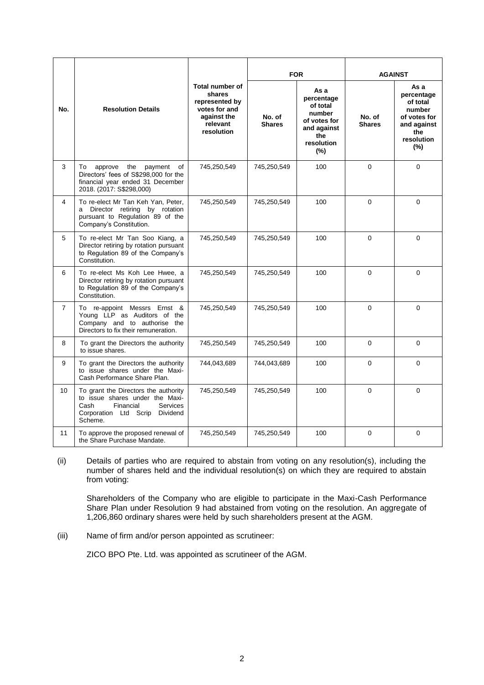| No.            | <b>Resolution Details</b>                                                                                                                                    | <b>Total number of</b><br>shares<br>represented by<br>votes for and<br>against the<br>relevant<br>resolution | <b>FOR</b>              |                                                                                                     | <b>AGAINST</b>          |                                                                                                        |
|----------------|--------------------------------------------------------------------------------------------------------------------------------------------------------------|--------------------------------------------------------------------------------------------------------------|-------------------------|-----------------------------------------------------------------------------------------------------|-------------------------|--------------------------------------------------------------------------------------------------------|
|                |                                                                                                                                                              |                                                                                                              | No. of<br><b>Shares</b> | As a<br>percentage<br>of total<br>number<br>of votes for<br>and against<br>the<br>resolution<br>(%) | No. of<br><b>Shares</b> | As a<br>percentage<br>of total<br>number<br>of votes for<br>and against<br>the<br>resolution<br>$(\%)$ |
| 3              | approve<br>the<br>payment<br>of<br>To<br>Directors' fees of S\$298,000 for the<br>financial year ended 31 December<br>2018. (2017: S\$298,000)               | 745,250,549                                                                                                  | 745,250,549             | 100                                                                                                 | $\Omega$                | $\Omega$                                                                                               |
| 4              | To re-elect Mr Tan Keh Yan, Peter,<br>a Director retiring by rotation<br>pursuant to Regulation 89 of the<br>Company's Constitution.                         | 745,250,549                                                                                                  | 745,250,549             | 100                                                                                                 | 0                       | $\Omega$                                                                                               |
| 5              | To re-elect Mr Tan Soo Kiang, a<br>Director retiring by rotation pursuant<br>to Regulation 89 of the Company's<br>Constitution.                              | 745,250,549                                                                                                  | 745,250,549             | 100                                                                                                 | $\Omega$                | $\Omega$                                                                                               |
| 6              | To re-elect Ms Koh Lee Hwee, a<br>Director retiring by rotation pursuant<br>to Regulation 89 of the Company's<br>Constitution.                               | 745,250,549                                                                                                  | 745,250,549             | 100                                                                                                 | $\Omega$                | $\Omega$                                                                                               |
| $\overline{7}$ | To re-appoint Messrs Ernst &<br>Young LLP as Auditors of the<br>Company and to authorise the<br>Directors to fix their remuneration.                         | 745,250,549                                                                                                  | 745.250.549             | 100                                                                                                 | $\Omega$                | $\Omega$                                                                                               |
| 8              | To grant the Directors the authority<br>to issue shares.                                                                                                     | 745,250,549                                                                                                  | 745,250,549             | 100                                                                                                 | $\Omega$                | 0                                                                                                      |
| 9              | To grant the Directors the authority<br>to issue shares under the Maxi-<br>Cash Performance Share Plan.                                                      | 744,043,689                                                                                                  | 744,043,689             | 100                                                                                                 | $\Omega$                | $\Omega$                                                                                               |
| 10             | To grant the Directors the authority<br>to issue shares under the Maxi-<br>Cash<br>Financial<br><b>Services</b><br>Corporation Ltd Scrip Dividend<br>Scheme. | 745,250,549                                                                                                  | 745,250,549             | 100                                                                                                 | $\Omega$                | $\Omega$                                                                                               |
| 11             | To approve the proposed renewal of<br>the Share Purchase Mandate.                                                                                            | 745,250,549                                                                                                  | 745,250,549             | 100                                                                                                 | $\Omega$                | $\Omega$                                                                                               |

(ii) Details of parties who are required to abstain from voting on any resolution(s), including the number of shares held and the individual resolution(s) on which they are required to abstain from voting:

Shareholders of the Company who are eligible to participate in the Maxi-Cash Performance Share Plan under Resolution 9 had abstained from voting on the resolution. An aggregate of 1,206,860 ordinary shares were held by such shareholders present at the AGM.

(iii) Name of firm and/or person appointed as scrutineer:

ZICO BPO Pte. Ltd. was appointed as scrutineer of the AGM.